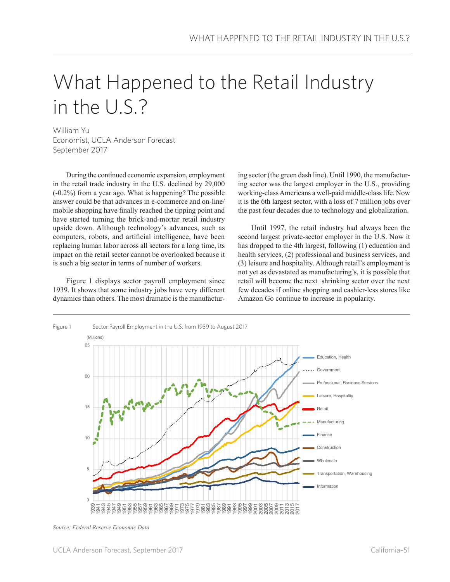## What Happened to the Retail Industry in the U.S.?

William Yu Economist, UCLA Anderson Forecast September 2017

During the continued economic expansion, employment in the retail trade industry in the U.S. declined by 29,000 (-0.2%) from a year ago. What is happening? The possible answer could be that advances in e-commerce and on-line/ mobile shopping have finally reached the tipping point and have started turning the brick-and-mortar retail industry upside down. Although technology's advances, such as computers, robots, and artificial intelligence, have been replacing human labor across all sectors for a long time, its impact on the retail sector cannot be overlooked because it is such a big sector in terms of number of workers.

Figure 1 displays sector payroll employment since 1939. It shows that some industry jobs have very different dynamics than others. The most dramatic is the manufacturing sector (the green dash line). Until 1990, the manufacturing sector was the largest employer in the U.S., providing working-class Americans a well-paid middle-class life. Now it is the 6th largest sector, with a loss of 7 million jobs over the past four decades due to technology and globalization.

Until 1997, the retail industry had always been the second largest private-sector employer in the U.S. Now it has dropped to the 4th largest, following (1) education and health services, (2) professional and business services, and (3) leisure and hospitality. Although retail's employment is not yet as devastated as manufacturing's, it is possible that retail will become the next shrinking sector over the next few decades if online shopping and cashier-less stores like Amazon Go continue to increase in popularity.



*Source: Federal Reserve Economic Data*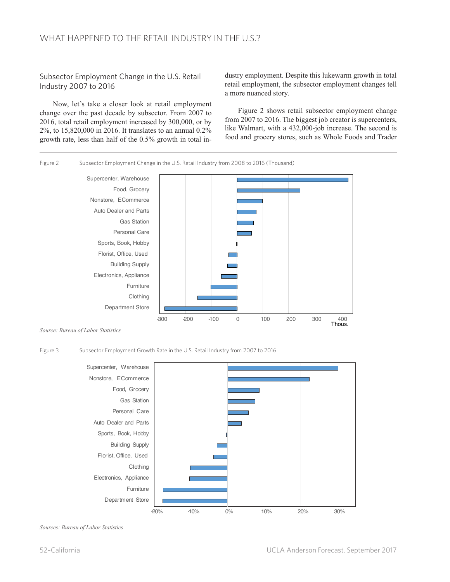Subsector Employment Change in the U.S. Retail Industry 2007 to 2016

Now, let's take a closer look at retail employment change over the past decade by subsector. From 2007 to 2016, total retail employment increased by 300,000, or by 2%, to 15,820,000 in 2016. It translates to an annual 0.2% growth rate, less than half of the 0.5% growth in total industry employment. Despite this lukewarm growth in total retail employment, the subsector employment changes tell a more nuanced story.

Figure 2 shows retail subsector employment change from 2007 to 2016. The biggest job creator is supercenters, like Walmart, with a 432,000-job increase. The second is food and grocery stores, such as Whole Foods and Trader





*Source: Bureau of Labor Statistics*

Figure 3 Subsector Employment Growth Rate in the U.S. Retail Industry from 2007 to 2016



*Sources: Bureau of Labor Statistics*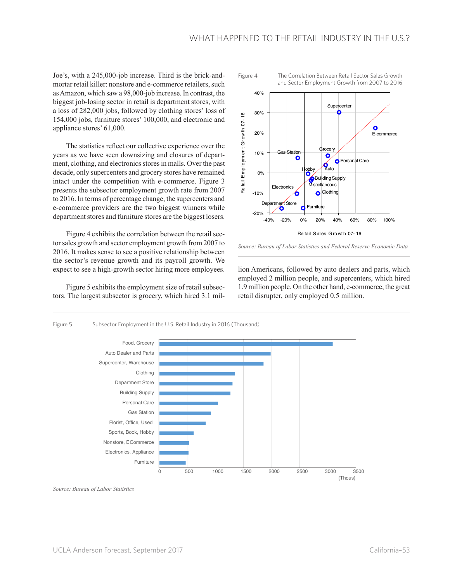Joe's, with a 245,000-job increase. Third is the brick-andmortar retail killer: nonstore and e-commerce retailers, such as Amazon, which saw a 98,000-job increase. In contrast, the biggest job-losing sector in retail is department stores, with a loss of 282,000 jobs, followed by clothing stores' loss of 154,000 jobs, furniture stores' 100,000, and electronic and appliance stores' 61,000.

The statistics reflect our collective experience over the years as we have seen downsizing and closures of department, clothing, and electronics stores in malls. Over the past decade, only supercenters and grocery stores have remained intact under the competition with e-commerce. Figure 3 presents the subsector employment growth rate from 2007 to 2016. In terms of percentage change, the supercenters and e-commerce providers are the two biggest winners while department stores and furniture stores are the biggest losers.

Figure 4 exhibits the correlation between the retail sector sales growth and sector employment growth from 2007 to 2016. It makes sense to see a positive relationship between the sector's revenue growth and its payroll growth. We expect to see a high-growth sector hiring more employees.

Figure 5 exhibits the employment size of retail subsectors. The largest subsector is grocery, which hired 3.1 mil-



*Source: Bureau of Labor Statistics and Federal Reserve Economic Data*

lion Americans, followed by auto dealers and parts, which employed 2 million people, and supercenters, which hired 1.9 million people. On the other hand, e-commerce, the great retail disrupter, only employed 0.5 million.



*Source: Bureau of Labor Statistics*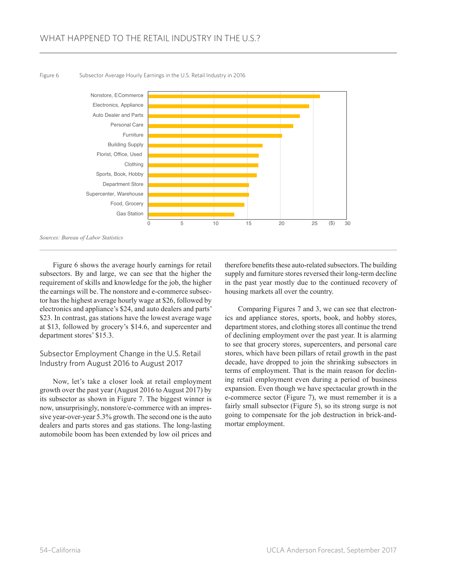

Figure 6 Subsector Average Hourly Earnings in the U.S. Retail Industry in 2016

Figure 6 shows the average hourly earnings for retail subsectors. By and large, we can see that the higher the requirement of skills and knowledge for the job, the higher the earnings will be. The nonstore and e-commerce subsector has the highest average hourly wage at \$26, followed by electronics and appliance's \$24, and auto dealers and parts' \$23. In contrast, gas stations have the lowest average wage at \$13, followed by grocery's \$14.6, and supercenter and department stores' \$15.3.

## Subsector Employment Change in the U.S. Retail Industry from August 2016 to August 2017

Now, let's take a closer look at retail employment growth over the past year (August 2016 to August 2017) by its subsector as shown in Figure 7. The biggest winner is now, unsurprisingly, nonstore/e-commerce with an impressive year-over-year 5.3% growth. The second one is the auto dealers and parts stores and gas stations. The long-lasting automobile boom has been extended by low oil prices and

therefore benefits these auto-related subsectors. The building supply and furniture stores reversed their long-term decline in the past year mostly due to the continued recovery of housing markets all over the country.

Comparing Figures 7 and 3, we can see that electronics and appliance stores, sports, book, and hobby stores, department stores, and clothing stores all continue the trend of declining employment over the past year. It is alarming to see that grocery stores, supercenters, and personal care stores, which have been pillars of retail growth in the past decade, have dropped to join the shrinking subsectors in terms of employment. That is the main reason for declining retail employment even during a period of business expansion. Even though we have spectacular growth in the e-commerce sector (Figure 7), we must remember it is a fairly small subsector (Figure 5), so its strong surge is not going to compensate for the job destruction in brick-andmortar employment.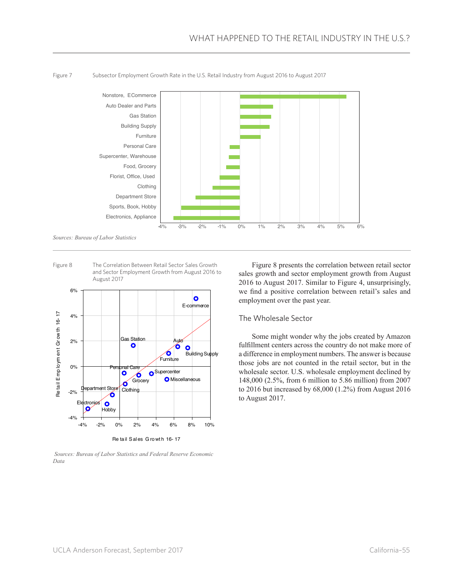

Figure 7 Subsector Employment Growth Rate in the U.S. Retail Industry from August 2016 to August 2017

*Sources: Bureau of Labor Statistics*

Figure 8 The Correlation Between Retail Sector Sales Growth and Sector Employment Growth from August 2016 to August 2017



 *Sources: Bureau of Labor Statistics and Federal Reserve Economic Data*

Figure 8 presents the correlation between retail sector sales growth and sector employment growth from August 2016 to August 2017. Similar to Figure 4, unsurprisingly, we find a positive correlation between retail's sales and employment over the past year.

## The Wholesale Sector

Some might wonder why the jobs created by Amazon fulfillment centers across the country do not make more of a difference in employment numbers. The answer is because those jobs are not counted in the retail sector, but in the wholesale sector. U.S. wholesale employment declined by 148,000 (2.5%, from 6 million to 5.86 million) from 2007 to 2016 but increased by 68,000 (1.2%) from August 2016 to August 2017.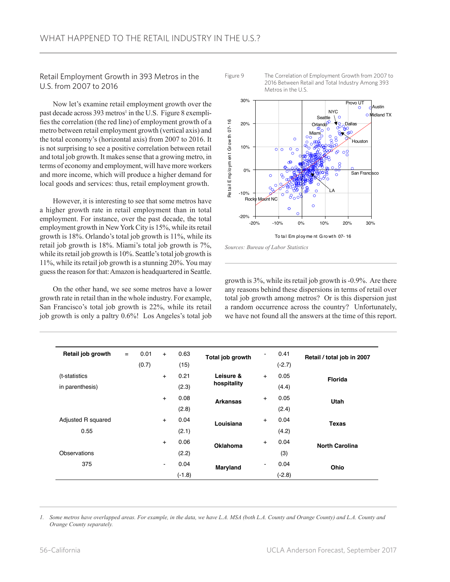Retail Employment Growth in 393 Metros in the U.S. from 2007 to 2016

Now let's examine retail employment growth over the past decade across 393 metros<sup>1</sup> in the U.S. Figure 8 exemplifies the correlation (the red line) of employment growth of a metro between retail employment growth (vertical axis) and the total economy's (horizontal axis) from 2007 to 2016. It is not surprising to see a positive correlation between retail and total job growth. It makes sense that a growing metro, in terms of economy and employment, will have more workers and more income, which will produce a higher demand for local goods and services: thus, retail employment growth.

However, it is interesting to see that some metros have a higher growth rate in retail employment than in total employment. For instance, over the past decade, the total employment growth in New York City is 15%, while its retail growth is 18%. Orlando's total job growth is 11%, while its retail job growth is 18%. Miami's total job growth is 7%, while its retail job growth is 10%. Seattle's total job growth is 11%, while its retail job growth is a stunning 20%. You may guess the reason for that: Amazon is headquartered in Seattle.

On the other hand, we see some metros have a lower growth rate in retail than in the whole industry. For example, San Francisco's total job growth is 22%, while its retail job growth is only a paltry 0.6%! Los Angeles's total job



Figure 9 The Correlation of Employment Growth from 2007 to





growth is 3%, while its retail job growth is -0.9%. Are there any reasons behind these dispersions in terms of retail over total job growth among metros? Or is this dispersion just a random occurrence across the country? Unfortunately, we have not found all the answers at the time of this report.

| Retail job growth  | $=$ | 0.01  | $+$            | 0.63  | Total job growth         | $\qquad \qquad \blacksquare$ | 0.41     | Retail / total job in 2007 |
|--------------------|-----|-------|----------------|-------|--------------------------|------------------------------|----------|----------------------------|
|                    |     | (0.7) |                | (15)  |                          |                              | $(-2.7)$ |                            |
| (t-statistics      |     |       | $+$            | 0.21  | Leisure &<br>hospitality | $+$                          | 0.05     | <b>Florida</b>             |
| in parenthesis)    |     |       |                | (2.3) |                          |                              | (4.4)    |                            |
|                    |     |       | $+$            | 0.08  | <b>Arkansas</b>          | $+$                          | 0.05     | <b>Utah</b>                |
|                    |     |       |                | (2.8) |                          |                              | (2.4)    |                            |
| Adjusted R squared |     |       | $+$            | 0.04  | Louisiana                | $+$                          | 0.04     | <b>Texas</b>               |
| 0.55               |     |       |                | (2.1) |                          |                              | (4.2)    |                            |
|                    |     |       | $\ddot{}$      | 0.06  | Oklahoma                 | $\ddot{}$                    | 0.04     | <b>North Carolina</b>      |
| Observations       |     |       |                | (2.2) |                          |                              | (3)      |                            |
| 375                |     |       | $\blacksquare$ | 0.04  | Maryland<br>$(-1.8)$     | $\qquad \qquad \blacksquare$ | 0.04     | Ohio                       |
|                    |     |       |                |       |                          |                              | $(-2.8)$ |                            |

*1. Some metros have overlapped areas. For example, in the data, we have L.A. MSA (both L.A. County and Orange County) and L.A. County and Orange County separately.*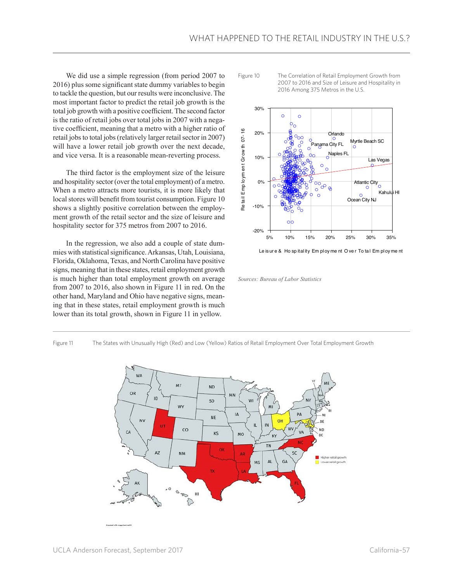We did use a simple regression (from period 2007 to 2016) plus some significant state dummy variables to begin to tackle the question, but our results were inconclusive. The most important factor to predict the retail job growth is the total job growth with a positive coefficient. The second factor is the ratio of retail jobs over total jobs in 2007 with a negative coefficient, meaning that a metro with a higher ratio of retail jobs to total jobs (relatively larger retail sector in 2007) will have a lower retail job growth over the next decade, and vice versa. It is a reasonable mean-reverting process.

The third factor is the employment size of the leisure and hospitality sector (over the total employment) of a metro. When a metro attracts more tourists, it is more likely that local stores will benefit from tourist consumption. Figure 10 shows a slightly positive correlation between the employment growth of the retail sector and the size of leisure and hospitality sector for 375 metros from 2007 to 2016.

In the regression, we also add a couple of state dummies with statistical significance. Arkansas, Utah, Louisiana, Florida, Oklahoma, Texas, and North Carolina have positive signs, meaning that in these states, retail employment growth is much higher than total employment growth on average from 2007 to 2016, also shown in Figure 11 in red. On the other hand, Maryland and Ohio have negative signs, meaning that in these states, retail employment growth is much lower than its total growth, shown in Figure 11 in yellow.

Figure 10 The Correlation of Retail Employment Growth from 2007 to 2016 and Size of Leisure and Hospitality in 2016 Among 375 Metros in the U.S.



Le is ure & Ho spitality Em ployme nt O ver To tal Em ployme nt

*Sources: Bureau of Labor Statistics*